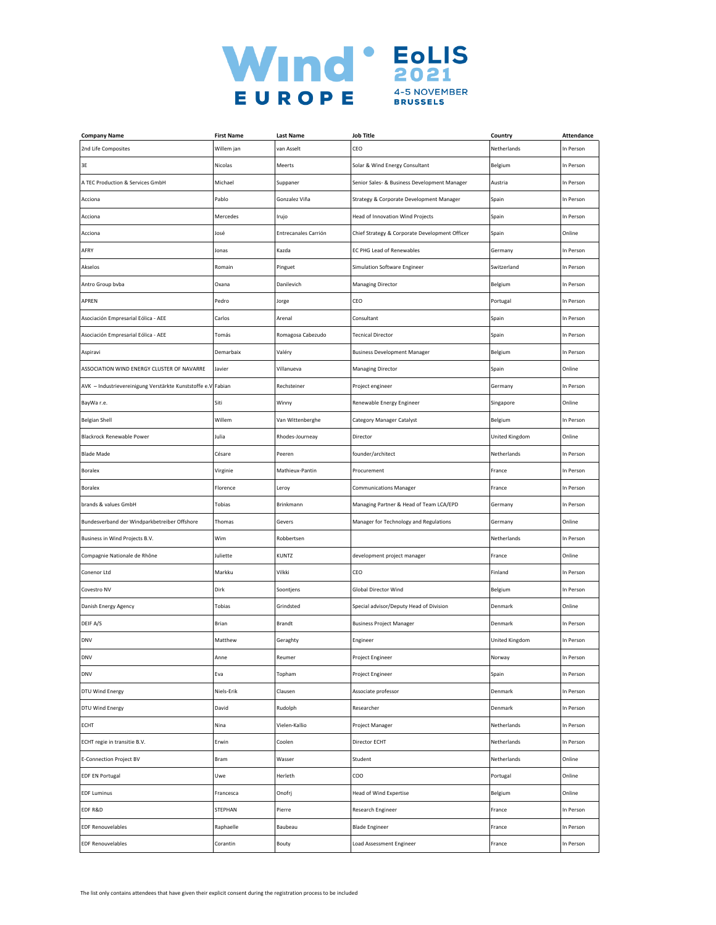

| <b>Company Name</b>                                           | <b>First Name</b> | <b>Last Name</b>     | <b>Job Title</b>                               | Country        | Attendance |
|---------------------------------------------------------------|-------------------|----------------------|------------------------------------------------|----------------|------------|
| 2nd Life Composites                                           | Willem jan        | van Asselt           | CEO                                            | Netherlands    | In Person  |
| 3E                                                            | Nicolas           | Meerts               | Solar & Wind Energy Consultant                 | Belgium        | In Person  |
| A TEC Production & Services GmbH                              | Michael           | Suppaner             | Senior Sales- & Business Development Manager   | Austria        | In Person  |
| Acciona                                                       | Pablo             | Gonzalez Viña        | Strategy & Corporate Development Manager       | Spain          | In Person  |
| Acciona                                                       | Mercedes          | Irujo                | Head of Innovation Wind Projects               | Spain          | In Person  |
| Acciona                                                       | losé              | Entrecanales Carrión | Chief Strategy & Corporate Development Officer | Spain          | Online     |
| AFRY                                                          | Jonas             | Kazda                | EC PHG Lead of Renewables                      | Germany        | In Person  |
| Akselos                                                       | Romain            | Pinguet              | Simulation Software Engineer                   | Switzerland    | In Person  |
| Antro Group bvba                                              | Oxana             | Danilevich           | <b>Managing Director</b>                       | Belgium        | In Person  |
| APREN                                                         | Pedro             | Jorge                | CEO                                            | Portugal       | In Person  |
| Asociación Empresarial Eólica - AEE                           | Carlos            | Arenal               | Consultant                                     | Spain          | In Person  |
| Asociación Empresarial Eólica - AEE                           | Tomás             | Romagosa Cabezudo    | <b>Tecnical Director</b>                       | Spain          | In Person  |
| Aspiravi                                                      | Demarbaix         | Valéry               | <b>Business Development Manager</b>            | Belgium        | In Person  |
| ASSOCIATION WIND ENERGY CLUSTER OF NAVARRE                    | Javier            | Villanueva           | <b>Managing Director</b>                       | Spain          | Online     |
| AVK - Industrievereinigung Verstärkte Kunststoffe e.V. Fabian |                   | Rechsteiner          | Project engineer                               | Germany        | In Person  |
| BayWa r.e.                                                    | Siti              | Winny                | Renewable Energy Engineer                      | Singapore      | Online     |
| <b>Belgian Shell</b>                                          | Willem            | Van Wittenberghe     | Category Manager Catalyst                      | Belgium        | In Person  |
| Blackrock Renewable Power                                     | Julia             | Rhodes-Journeay      | Director                                       | United Kingdom | Online     |
| <b>Blade Made</b>                                             | Césare            | Peeren               | founder/architect                              | Netherlands    | In Person  |
| Boralex                                                       | Virginie          | Mathieux-Pantin      | Procurement                                    | France         | In Person  |
| Boralex                                                       | Florence          | Leroy                | <b>Communications Manager</b>                  | France         | In Person  |
| brands & values GmbH                                          | Tobias            | Brinkmann            | Managing Partner & Head of Team LCA/EPD        | Germany        | In Person  |
| Bundesverband der Windparkbetreiber Offshore                  | Thomas            | Gevers               | Manager for Technology and Regulations         | Germany        | Online     |
| Business in Wind Projects B.V.                                | Wim               | Robbertsen           |                                                | Netherlands    | In Person  |
| Compagnie Nationale de Rhône                                  | Juliette          | KUNTZ                | development project manager                    | France         | Online     |
| Conenor Ltd                                                   | Markku            | Vilkki               | CEO                                            | Finland        | In Person  |
| Covestro NV                                                   | Dirk              | Soontjens            | <b>Global Director Wind</b>                    | Belgium        | In Person  |
| Danish Energy Agency                                          | Tobias            | Grindsted            | Special advisor/Deputy Head of Division        | Denmark        | Online     |
| DEIF A/S                                                      | Brian             | Brandt               | <b>Business Project Manager</b>                | Denmark        | In Person  |
| <b>DNV</b>                                                    | Matthew           | Geraghty             | Engineer                                       | United Kingdom | In Person  |
| DNV                                                           | Anne              | ≺eumer               | Project Engineei                               | ivorway        | In Person  |
| <b>DNV</b>                                                    | Eva               | Topham               | Project Engineer                               | Spain          | In Person  |
| DTU Wind Energy                                               | Niels-Erik        | Clausen              | Associate professor                            | Denmark        | In Person  |
| DTU Wind Energy                                               | David             | Rudolph              | Researcher                                     | Denmark        | In Person  |
| ECHT                                                          | Nina              | Vielen-Kallio        | Project Manager                                | Netherlands    | In Person  |
| ECHT regie in transitie B.V.                                  | Erwin             | Coolen               | Director ECHT                                  | Netherlands    | In Person  |
| <b>E-Connection Project BV</b>                                | Bram              | Wasser               | Student                                        | Netherlands    | Online     |
| <b>EDF EN Portugal</b>                                        | Uwe               | Herleth              | COO                                            | Portugal       | Online     |
| <b>EDF Luminus</b>                                            | Francesca         | Onofrj               | <b>Head of Wind Expertise</b>                  | Belgium        | Online     |
| EDF R&D                                                       | STEPHAN           | Pierre               | Research Engineer                              | France         | In Person  |
| <b>EDF Renouvelables</b>                                      | Raphaelle         | Baubeau              | <b>Blade Engineer</b>                          | France         | In Person  |
| <b>EDF Renouvelables</b>                                      | Corantin          | Bouty                | Load Assessment Engineer                       | France         | In Person  |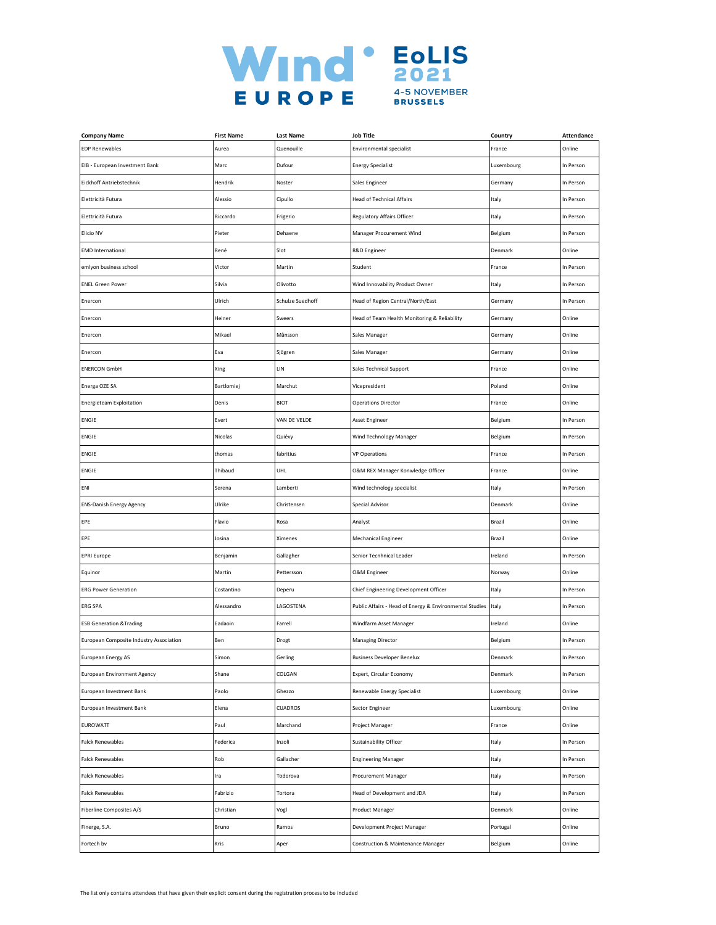

| <b>Company Name</b>                     | <b>First Name</b> | <b>Last Name</b> | <b>Job Title</b>                                        | Country    | Attendance |
|-----------------------------------------|-------------------|------------------|---------------------------------------------------------|------------|------------|
| <b>EDP Renewables</b>                   | Aurea             | Quenouille       | <b>Environmental specialist</b>                         | France     | Online     |
| EIB - European Investment Bank          | Marc              | Dufour           | <b>Energy Specialist</b>                                | Luxembourg | In Person  |
| Eickhoff Antriebstechnik                | Hendrik           | Noster           | Sales Engineer                                          | Germany    | In Person  |
| Elettricità Futura                      | Alessio           | Cipullo          | <b>Head of Technical Affairs</b>                        | Italy      | In Person  |
| Elettricità Futura                      | Riccardo          | Frigerio         | Regulatory Affairs Officer                              | Italy      | In Person  |
| Elicio NV                               | Pieter            | Dehaene          | Manager Procurement Wind                                | Belgium    | In Person  |
| <b>EMD International</b>                | René              | Slot             | R&D Engineer                                            | Denmark    | Online     |
| emlyon business school                  | Victor            | Martin           | Student                                                 | France     | In Person  |
| <b>ENEL Green Power</b>                 | Silvia            | Olivotto         | Wind Innovability Product Owner                         | Italy      | In Person  |
| Enercon                                 | Ulrich            | Schulze Suedhoff | Head of Region Central/North/East                       | Germany    | In Person  |
| Enercon                                 | Heiner            | Sweers           | Head of Team Health Monitoring & Reliability            | Germany    | Online     |
| Enercon                                 | Mikael            | Månsson          | Sales Manager                                           | Germany    | Online     |
| Enercon                                 | Eva               | Sjögren          | Sales Manager                                           | Germany    | Online     |
| <b>ENERCON GmbH</b>                     | Xing              | LIN              | <b>Sales Technical Support</b>                          | France     | Online     |
| Energa OZE SA                           | Bartlomiej        | Marchut          | Vicepresident                                           | Poland     | Online     |
| <b>Energieteam Exploitation</b>         | Denis             | <b>BIOT</b>      | <b>Operations Director</b>                              | France     | Online     |
| <b>ENGIE</b>                            | Evert             | VAN DE VELDE     | Asset Engineer                                          | Belgium    | In Person  |
| ENGIE                                   | Nicolas           | Quiévy           | Wind Technology Manager                                 | Belgium    | In Person  |
| <b>ENGIE</b>                            | thomas            | fabritius        | <b>VP Operations</b>                                    | France     | In Person  |
| <b>ENGIE</b>                            | Thibaud           | <b>UHL</b>       | O&M REX Manager Konwledge Officer                       | France     | Online     |
| ENI                                     | Serena            | Lamberti         | Wind technology specialist                              | Italy      | In Person  |
| <b>ENS-Danish Energy Agency</b>         | Ulrike            | Christensen      | Special Advisor                                         | Denmark    | Online     |
| EPE                                     | Flavio            | Rosa             | Analyst                                                 | Brazil     | Online     |
| EPE                                     | Josina            | Ximenes          | Mechanical Engineer                                     | Brazil     | Online     |
| <b>EPRI Europe</b>                      | Benjamin          | Gallagher        | Senior Tecnhnical Leader                                | Ireland    | In Person  |
| Equinor                                 | Martin            | Pettersson       | <b>O&amp;M</b> Engineer                                 | Norway     | Online     |
| <b>ERG Power Generation</b>             | Costantino        | Deperu           | Chief Engineering Development Officer                   | Italy      | In Person  |
| ERG SPA                                 | Alessandro        | LAGOSTENA        | Public Affairs - Head of Energy & Environmental Studies | Italy      | In Person  |
| <b>ESB Generation &amp; Trading</b>     | Eadaoin           | Farrell          | Windfarm Asset Manager                                  | Ireland    | Online     |
| European Composite Industry Association | Ben               | Drogt            | Managing Director                                       | Belgium    | In Person  |
| European Energy AS                      | янюн              | Gerling          | Business Developer Benelux                              | Denmark    | n Person   |
| <b>European Environment Agency</b>      | Shane             | COLGAN           | Expert, Circular Economy                                | Denmark    | In Person  |
| European Investment Bank                | Paolo             | Ghezzo           | Renewable Energy Specialist                             | Luxembourg | Online     |
| European Investment Bank                | Elena             | CUADROS          | Sector Engineer                                         | Luxembourg | Online     |
| EUROWATT                                | Paul              | Marchand         | Project Manager                                         | France     | Online     |
| <b>Falck Renewables</b>                 | Federica          | Inzoli           | Sustainability Officer                                  | Italy      | In Person  |
| <b>Falck Renewables</b>                 | Rob               | Gallacher        | <b>Engineering Manager</b>                              | Italy      | In Person  |
| <b>Falck Renewables</b>                 | Ira               | Todorova         | Procurement Manager                                     | Italy      | In Person  |
| <b>Falck Renewables</b>                 | Fabrizio          | Tortora          | Head of Development and JDA                             | Italy      | In Person  |
| Fiberline Composites A/S                | Christian         | Vogl             | Product Manager                                         | Denmark    | Online     |
| Finerge, S.A.                           | Bruno             | Ramos            | Development Project Manager                             | Portugal   | Online     |
| Fortech bv                              | Kris              | Aper             | <b>Construction &amp; Maintenance Manager</b>           | Belgium    | Online     |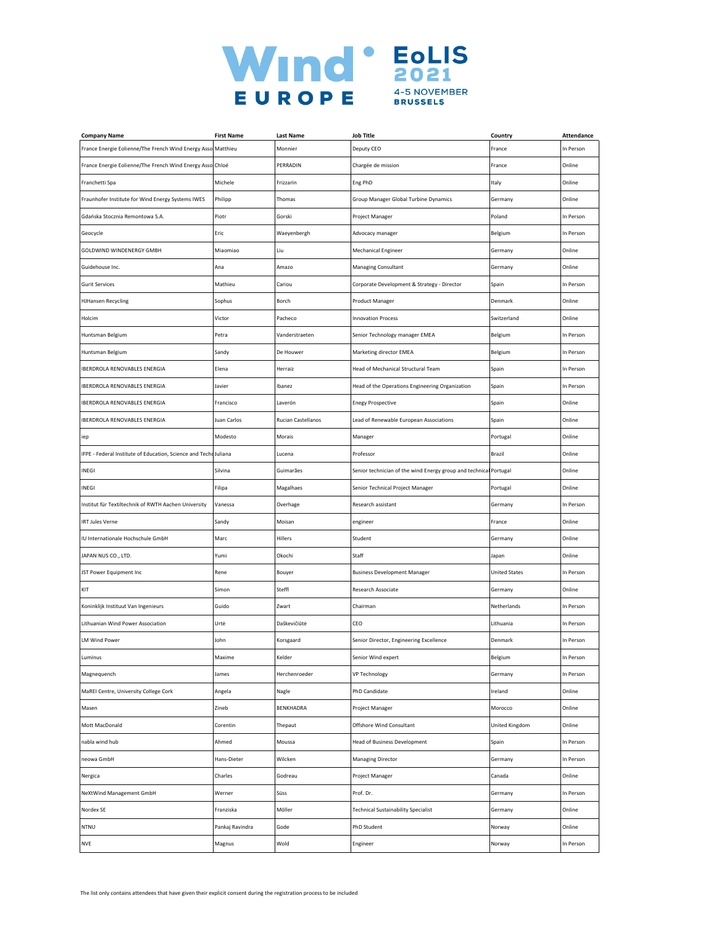

| <b>Company Name</b>                                              | <b>First Name</b> | <b>Last Name</b>                                                                     | <b>Job Title</b>                                                  | Country              | Attendance |
|------------------------------------------------------------------|-------------------|--------------------------------------------------------------------------------------|-------------------------------------------------------------------|----------------------|------------|
| France Energie Eolienne/The French Wind Energy Asso Matthieu     |                   | Monnier                                                                              | Deputy CEO                                                        | France               | In Person  |
| France Energie Eolienne/The French Wind Energy Asso Chloé        |                   | PERRADIN                                                                             | Chargée de mission                                                | France               | Online     |
| Franchetti Spa                                                   | Michele           | Frizzarin                                                                            | Eng PhD                                                           | Italy                | Online     |
| Fraunhofer Institute for Wind Energy Systems IWES                | Philipp           | Thomas                                                                               | Group Manager Global Turbine Dynamics                             | Germany              | Online     |
| Gdańska Stocznia Remontowa S.A.                                  | Piotr             | Gorski                                                                               | Project Manager                                                   | Poland               | In Person  |
| Geocycle                                                         | Eric              | Waeyenbergh                                                                          | Advocacy manager                                                  | Belgium              | In Person  |
| GOLDWIND WINDENERGY GMBH                                         | Miaomiao          | Liu                                                                                  | Mechanical Engineer                                               | Germany              | Online     |
| Guidehouse Inc.                                                  | Ana               | Amazo                                                                                | <b>Managing Consultant</b>                                        | Germany              | Online     |
| <b>Gurit Services</b>                                            | Mathieu           | Cariou                                                                               | Corporate Development & Strategy - Director                       | Spain                | In Person  |
| <b>HJHansen Recycling</b>                                        | Sophus            | Borch                                                                                | Product Manager                                                   | Denmark              | Online     |
| Holcim                                                           | Victor            | Pacheco                                                                              | <b>Innovation Process</b>                                         | Switzerland          | Online     |
| Huntsman Belgium                                                 | Petra             | Vanderstraeten                                                                       | Senior Technology manager EMEA                                    | Belgium              | In Person  |
| Huntsman Belgium                                                 | Sandy             | De Houwer                                                                            | Marketing director EMEA                                           | Belgium              | In Person  |
| <b>IBERDROLA RENOVABLES ENERGIA</b>                              | Elena             | Herraiz                                                                              | Head of Mechanical Structural Team                                | Spain                | In Person  |
| <b>IBERDROLA RENOVABLES ENERGIA</b>                              | Javier            | Ibanez                                                                               | Head of the Operations Engineering Organization                   | Spain                | In Person  |
| <b>IBERDROLA RENOVABLES ENERGIA</b>                              | Francisco         | Laverón                                                                              | <b>Enegy Prospective</b>                                          | Spain                | Online     |
| <b>IBERDROLA RENOVABLES ENERGIA</b>                              | Juan Carlos       | Rucian Castellanos                                                                   | Lead of Renewable European Associations                           | Spain                | Online     |
| iep                                                              | Modesto           | Morais                                                                               | Manager                                                           | Portugal             | Online     |
| IFPE - Federal Institute of Education, Science and Techo Juliana |                   | Lucena                                                                               | Professor                                                         | Brazil               | Online     |
| INEGI                                                            | Silvina           | Guimarães                                                                            | Senior technician of the wind Energy group and technical Portugal |                      | Online     |
| INEGI                                                            | Filipa            | Magalhaes                                                                            | Senior Technical Project Manager                                  | Portugal             | Online     |
| Institut für Textiltechnik of RWTH Aachen University             | Vanessa           | Overhage                                                                             | Research assistant                                                | Germany              | In Person  |
| <b>IRT Jules Verne</b>                                           | Sandy             | Moisan                                                                               | engineer                                                          | France               | Online     |
| IU Internationale Hochschule GmbH                                | Marc              | Hillers                                                                              | Student                                                           | Germany              | Online     |
| JAPAN NUS CO., LTD.                                              | Yumi              | Okochi                                                                               | Staff                                                             | Japan                | Online     |
| JST Power Equipment Inc                                          | Rene              | Bouyer                                                                               | <b>Business Development Manager</b>                               | <b>United States</b> | In Person  |
| KIT                                                              | Simon             | Steffl                                                                               | Research Associate                                                | Germany              | Online     |
| Koninklijk Instituut Van Ingenieurs                              | Guido             | Zwart                                                                                | Chairman                                                          | Netherlands          | In Person  |
| Lithuanian Wind Power Association                                | Urtė              | Daškevičiūtė                                                                         | CEO                                                               | Lithuania            | In Person  |
| <b>LM Wind Power</b>                                             | John              | Korsgaard                                                                            | Senior Director, Engineering Excellence                           | Denmark              | In Person  |
| uminus.                                                          | maxime            | <elder< td=""><td>senior wind expert</td><td>Beigium</td><td>ın Person</td></elder<> | senior wind expert                                                | Beigium              | ın Person  |
| Magnequench                                                      | James             | Herchenroeder                                                                        | <b>VP Technology</b>                                              | Germany              | In Person  |
| MaREI Centre, University College Cork                            | Angela            | Nagle                                                                                | PhD Candidate                                                     | Ireland              | Online     |
| Masen                                                            | Zineb             | BENKHADRA                                                                            | Project Manager                                                   | Morocco              | Online     |
| Mott MacDonald                                                   | Corentin          | Thepaut                                                                              | Offshore Wind Consultant                                          | United Kingdom       | Online     |
| nabla wind hub                                                   | Ahmed             | Moussa                                                                               | <b>Head of Business Development</b>                               | Spain                | In Person  |
| neowa GmbH                                                       | Hans-Dieter       | Wilcken                                                                              | Managing Director                                                 | Germany              | In Person  |
| Nergica                                                          | Charles           | Godreau                                                                              | Project Manager                                                   | Canada               | Online     |
| NeXtWind Management GmbH                                         | Werner            | Süss                                                                                 | Prof. Dr.                                                         | Germany              | In Person  |
| Nordex SE                                                        | Franziska         | Möller                                                                               | Technical Sustainability Specialist                               | Germany              | Online     |
| <b>NTNU</b>                                                      | Pankaj Ravindra   | Gode                                                                                 | PhD Student                                                       | Norway               | Online     |
| NVE                                                              | Magnus            | Wold                                                                                 | Engineer                                                          | Norway               | In Person  |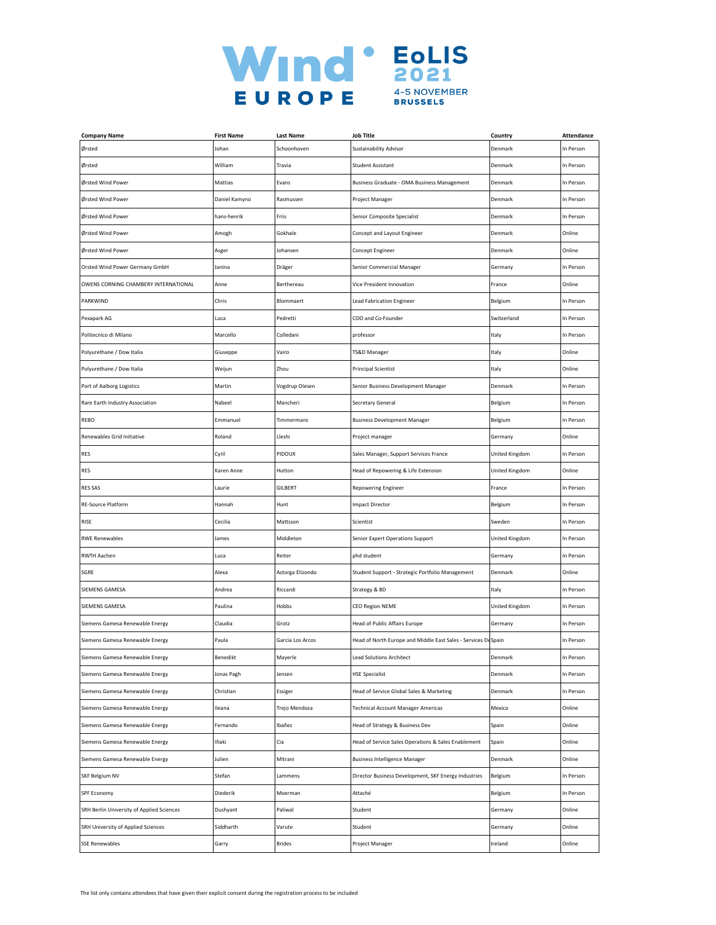

| <b>Company Name</b>                       | <b>First Name</b> | <b>Last Name</b> | <b>Job Title</b>                                              | Country        | <b>Attendance</b> |
|-------------------------------------------|-------------------|------------------|---------------------------------------------------------------|----------------|-------------------|
| Ørsted                                    | Johan             | Schoonhoven      | Sustainability Advisor                                        | Denmark        | In Person         |
| Ørsted                                    | William           | Travia           | Student Assistant                                             | Denmark        | In Person         |
| Ørsted Wind Power                         | Mattias           | Evans            | Business Graduate - OMA Business Management                   | Denmark        | In Person         |
| Ørsted Wind Power                         | Daniel Kamyno     | Rasmussen        | Project Manager                                               | Denmark        | In Person         |
| Ørsted Wind Power                         | hans-henrik       | Friis            | Senior Composite Specialist                                   | Denmark        | In Person         |
| Ørsted Wind Power                         | Amogh             | Gokhale          | Concept and Layout Engineer                                   | Denmark        | Online            |
| Ørsted Wind Power                         | Asger             | Johansen         | Concept Engineer                                              | Denmark        | Online            |
| Orsted Wind Power Germany GmbH            | Janina            | Dräger           | Senior Commercial Manager                                     | Germany        | In Person         |
| OWENS CORNING CHAMBERY INTERNATIONAL      | Anne              | Berthereau       | Vice President Innovation                                     | France         | Online            |
| PARKWIND                                  | Chris             | Blommaert        | Lead Fabrication Engineer                                     | Belgium        | In Person         |
| Pexapark AG                               | Luca              | Pedretti         | COO and Co-Founder                                            | Switzerland    | In Person         |
| Politecnico di Milano                     | Marcello          | Colledani        | professor                                                     | Italy          | In Person         |
| Polyurethane / Dow Italia                 | Giuseppe          | Vairo            | TS&D Manager                                                  | Italy          | Online            |
| Polyurethane / Dow Italia                 | Weijun            | Zhou             | <b>Principal Scientist</b>                                    | Italy          | Online            |
| Port of Aalborg Logistics                 | Martin            | Vogdrup Olesen   | Senior Business Development Manager                           | Denmark        | In Person         |
| Rare Earth Industry Association           | Nabeel            | Mancheri         | Secretary General                                             | Belgium        | In Person         |
| REBO                                      | Emmanuel          | Timmermans       | <b>Business Development Manager</b>                           | Belgium        | In Person         |
| Renewables Grid Initiative                | Roland            | Lleshi           | Project manager                                               | Germany        | Online            |
| <b>RES</b>                                | Cyril             | PIDOUX           | Sales Manager, Support Services France                        | United Kingdom | In Person         |
| <b>RES</b>                                | Karen Anne        | Hutton           | Head of Repowering & Life Extension                           | United Kingdom | Online            |
| <b>RES SAS</b>                            | Laurie            | GILBERT          | Repowering Engineer                                           | France         | In Person         |
| <b>RE-Source Platform</b>                 | Hannah            | Hunt             | <b>Impact Director</b>                                        | Belgium        | In Person         |
| RISE                                      | Cecilia           | Mattsson         | Scientist                                                     | Sweden         | In Person         |
| <b>RWE Renewables</b>                     | James             | Middleton        | Senior Expert Operations Support                              | United Kingdom | In Person         |
| RWTH Aachen                               | Luca              | Reiter           | phd student                                                   | Germany        | In Person         |
| SGRE                                      | Alexa             | Astorga Elizondo | Student Support - Strategic Portfolio Management              | Denmark        | Online            |
| SIEMENS GAMESA                            | Andrea            | Riccardi         | Strategy & BD                                                 | Italy          | In Person         |
| SIEMENS GAMESA                            | Paulina           | Hobbs            | <b>CEO Region NEME</b>                                        | United Kingdom | In Person         |
| Siemens Gamesa Renewable Energy           | Claudia           | Grotz            | <b>Head of Public Affairs Europe</b>                          | Germany        | In Person         |
| Siemens Gamesa Renewable Energy           | Paula             | Garcia Los Arcos | Head of North Europe and Middle East Sales - Services DeSpain |                | In Person         |
| iemens Gamesa Renewable Energy            | Benedikt          | Mayerle          | ead Solutions Architect                                       | )enmark        | n Person          |
| Siemens Gamesa Renewable Energy           | Jonas Pagh        | Jensen           | <b>HSE Specialist</b>                                         | Denmark        | In Person         |
| Siemens Gamesa Renewable Energy           | Christian         | Essiger          | Head of Service Global Sales & Marketing                      | Denmark        | In Person         |
| Siemens Gamesa Renewable Energy           | Ileana            | Trejo Mendoza    | <b>Technical Account Manager Americas</b>                     | Mexico         | Online            |
| Siemens Gamesa Renewable Energy           | Fernando          | Ibañez           | Head of Strategy & Business Dev                               | Spain          | Online            |
| Siemens Gamesa Renewable Energy           | Iñaki             | Cia              | Head of Service Sales Operations & Sales Enablement           | Spain          | Online            |
| Siemens Gamesa Renewable Energy           | Julien            | Mitrani          | <b>Business Intelligence Manager</b>                          | Denmark        | Online            |
| SKF Belgium NV                            | Stefan            | Lammens          | Director Business Development, SKF Energy Industries          | Belgium        | In Person         |
| SPF Economy                               | Diederik          | Moerman          | Attaché                                                       | Belgium        | In Person         |
| SRH Berlin University of Applied Sciences | Dushyant          | Paliwal          | Student                                                       | Germany        | Online            |
| SRH University of Applied Sciences        | Siddharth         | Varute           | Student                                                       | Germany        | Online            |
| <b>SSE Renewables</b>                     | Garry             | <b>Brides</b>    | Project Manager                                               | Ireland        | Online            |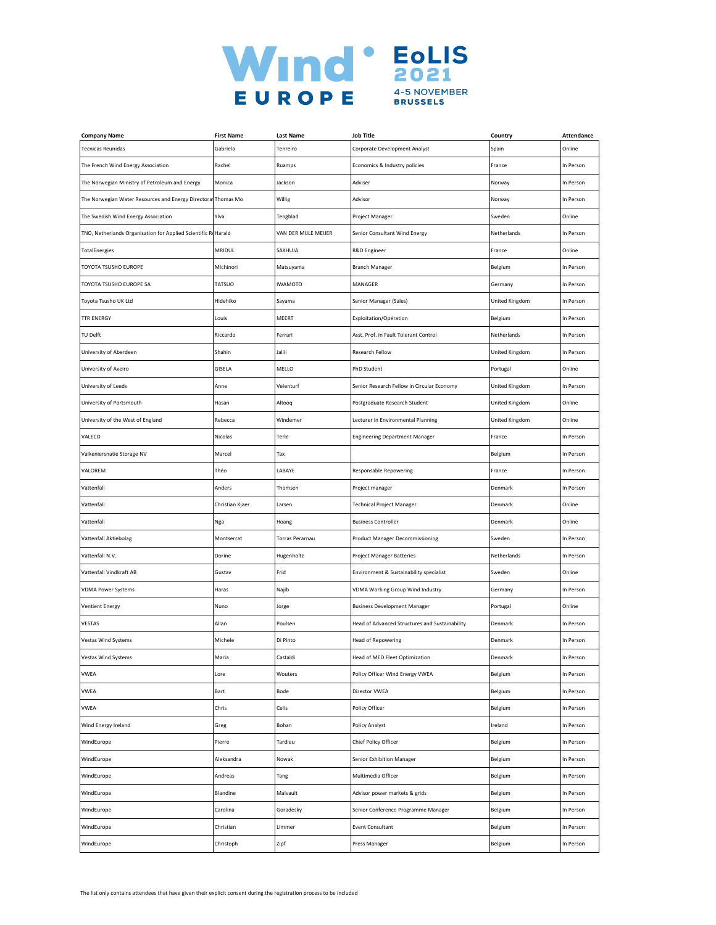

| <b>Company Name</b>                                           | <b>First Name</b> | Last Name              | <b>Job Title</b>                               | Country        | <b>Attendance</b> |
|---------------------------------------------------------------|-------------------|------------------------|------------------------------------------------|----------------|-------------------|
| <b>Tecnicas Reunidas</b>                                      | Gabriela          | Tenreiro               | Corporate Development Analyst                  | Spain          | Online            |
| The French Wind Energy Association                            | Rachel            | Ruamps                 | Economics & Industry policies                  | France         | In Person         |
| The Norwegian Ministry of Petroleum and Energy                | Monica            | Jackson                | Adviser                                        | Norway         | In Person         |
| The Norwegian Water Resources and Energy Directoral Thomas Mo |                   | Willig                 | Advisor                                        | Norway         | In Person         |
| The Swedish Wind Energy Association                           | Ylva              | Tengblad               | Project Manager                                | Sweden         | Online            |
| TNO, Netherlands Organisation for Applied Scientific ReHarald |                   | VAN DER MIJLE MEIJER   | Senior Consultant Wind Energy                  | Netherlands    | In Person         |
| TotalEnergies                                                 | <b>MRIDUL</b>     | SAKHUJA                | R&D Engineer                                   | France         | Online            |
| TOYOTA TSUSHO EUROPE                                          | Michinori         | Matsuyama              | <b>Branch Manager</b>                          | Belgium        | In Person         |
| TOYOTA TSUSHO EUROPE SA                                       | TATSUO            | <b>IWAMOTO</b>         | MANAGER                                        | Germany        | In Person         |
| Toyota Tsusho UK Ltd                                          | Hidehiko          | Sayama                 | Senior Manager (Sales)                         | United Kingdom | In Person         |
| <b>TTR ENERGY</b>                                             | Louis             | MEERT                  | Exploitation/Opération                         | Belgium        | In Person         |
| TU Delft                                                      | Riccardo          | Ferrari                | Asst. Prof. in Fault Tolerant Control          | Netherlands    | In Person         |
| University of Aberdeen                                        | Shahin            | Jalili                 | Research Fellow                                | United Kingdom | In Person         |
| University of Aveiro                                          | GISELA            | MELLO                  | PhD Student                                    | Portugal       | Online            |
| University of Leeds                                           | Anne              | Velenturf              | Senior Research Fellow in Circular Economy     | United Kingdom | In Person         |
| University of Portsmouth                                      | Hasan             | Altooq                 | Postgraduate Research Student                  | United Kingdom | Online            |
| University of the West of England                             | Rebecca           | Windemer               | Lecturer in Environmental Planning             | United Kingdom | Online            |
| VALECO                                                        | Nicolas           | Terle                  | <b>Engineering Department Manager</b>          | France         | In Person         |
| Valkeniersnatie Storage NV                                    | Marcel            | Tax                    |                                                | Belgium        | In Person         |
| VALOREM                                                       | Théo              | LABAYE                 | <b>Responsable Repowering</b>                  | France         | In Person         |
| Vattenfall                                                    | Anders            | Thomsen                | Project manager                                | Denmark        | In Person         |
| Vattenfall                                                    | Christian Kjaer   | Larsen                 | Technical Project Manager                      | Denmark        | Online            |
| Vattenfall                                                    | Nga               | Hoang                  | <b>Business Controller</b>                     | Denmark        | Online            |
| Vattenfall Aktiebolag                                         | Montserrat        | <b>Torras Perarnau</b> | Product Manager Decommissioning                | Sweden         | In Person         |
| Vattenfall N.V.                                               | Dorine            | Hugenholtz             | Project Manager Batteries                      | Netherlands    | In Person         |
| Vattenfall Vindkraft AB                                       | Gustav            | Frid                   | Environment & Sustainability specialist        | Sweden         | Online            |
| <b>VDMA Power Systems</b>                                     | Haras             | Najib                  | VDMA Working Group Wind Industry               | Germany        | In Person         |
| <b>Ventient Energy</b>                                        | Nuno              | Jorge                  | <b>Business Development Manager</b>            | Portugal       | Online            |
| VESTAS                                                        | Allan             | Poulsen                | Head of Advanced Structures and Sustainability | Denmark        | In Person         |
| Vestas Wind Systems                                           | Michele           | Di Pinto               | <b>Head of Repowering</b>                      | Denmark        | In Person         |
| estas Wind Systems                                            | Aaria             | astaldi                | lead of MED Fleet Optimization                 | )enmark        | n Person          |
| <b>VWEA</b>                                                   | Lore              | Wouters                | Policy Officer Wind Energy VWEA                | Belgium        | In Person         |
| <b>VWEA</b>                                                   | Bart              | Bode                   | Director VWEA                                  | Belgium        | In Person         |
| VWEA                                                          | Chris             | Celis                  | Policy Officer                                 | Belgium        | In Person         |
| Wind Energy Ireland                                           | Greg              | Bohan                  | <b>Policy Analyst</b>                          | Ireland        | In Person         |
| WindEurope                                                    | Pierre            | Tardieu                | Chief Policy Officer                           | Belgium        | In Person         |
| WindEurope                                                    | Aleksandra        | Nowak                  | Senior Exhibition Manager                      | Belgium        | In Person         |
| WindEurope                                                    | Andreas           | Tang                   | Multimedia Officer                             | Belgium        | In Person         |
| WindEurope                                                    | Blandine          | Malvault               | Advisor power markets & grids                  | Belgium        | In Person         |
| WindEurope                                                    | Carolina          | Goradesky              | Senior Conference Programme Manager            | Belgium        | In Person         |
| WindEurope                                                    | Christian         | Limmer                 | <b>Event Consultant</b>                        | Belgium        | In Person         |
| WindEurope                                                    | Christoph         | Zipf                   | Press Manager                                  | Belgium        | In Person         |